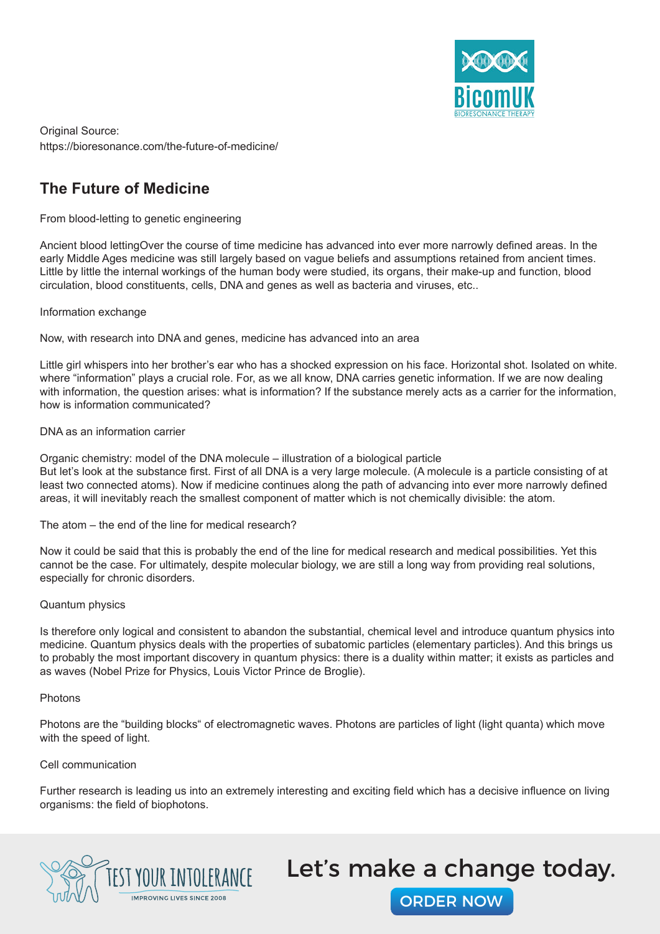

Original Source: https://bioresonance.com/the-future-of-medicine/

# **The Future of Medicine**

From blood-letting to genetic engineering

Ancient blood lettingOver the course of time medicine has advanced into ever more narrowly defined areas. In the early Middle Ages medicine was still largely based on vague beliefs and assumptions retained from ancient times. Little by little the internal workings of the human body were studied, its organs, their make-up and function, blood circulation, blood constituents, cells, DNA and genes as well as bacteria and viruses, etc..

#### Information exchange

Now, with research into DNA and genes, medicine has advanced into an area

Little girl whispers into her brother's ear who has a shocked expression on his face. Horizontal shot. Isolated on white. where "information" plays a crucial role. For, as we all know, DNA carries genetic information. If we are now dealing with information, the question arises: what is information? If the substance merely acts as a carrier for the information, how is information communicated?

## DNA as an information carrier

Organic chemistry: model of the DNA molecule – illustration of a biological particle But let's look at the substance first. First of all DNA is a very large molecule. (A molecule is a particle consisting of at least two connected atoms). Now if medicine continues along the path of advancing into ever more narrowly defined areas, it will inevitably reach the smallest component of matter which is not chemically divisible: the atom.

The atom – the end of the line for medical research?

Now it could be said that this is probably the end of the line for medical research and medical possibilities. Yet this cannot be the case. For ultimately, despite molecular biology, we are still a long way from providing real solutions, especially for chronic disorders.

## Quantum physics

Is therefore only logical and consistent to abandon the substantial, chemical level and introduce quantum physics into medicine. Quantum physics deals with the properties of subatomic particles (elementary particles). And this brings us to probably the most important discovery in quantum physics: there is a duality within matter; it exists as particles and as waves (Nobel Prize for Physics, Louis Victor Prince de Broglie).

#### Photons

Photons are the "building blocks" of electromagnetic waves. Photons are particles of light (light quanta) which move with the speed of light.

#### Cell communication

Further research is leading us into an extremely interesting and exciting field which has a decisive influence on living organisms: the field of biophotons.



# Let's make a change today.

ORDER NOW